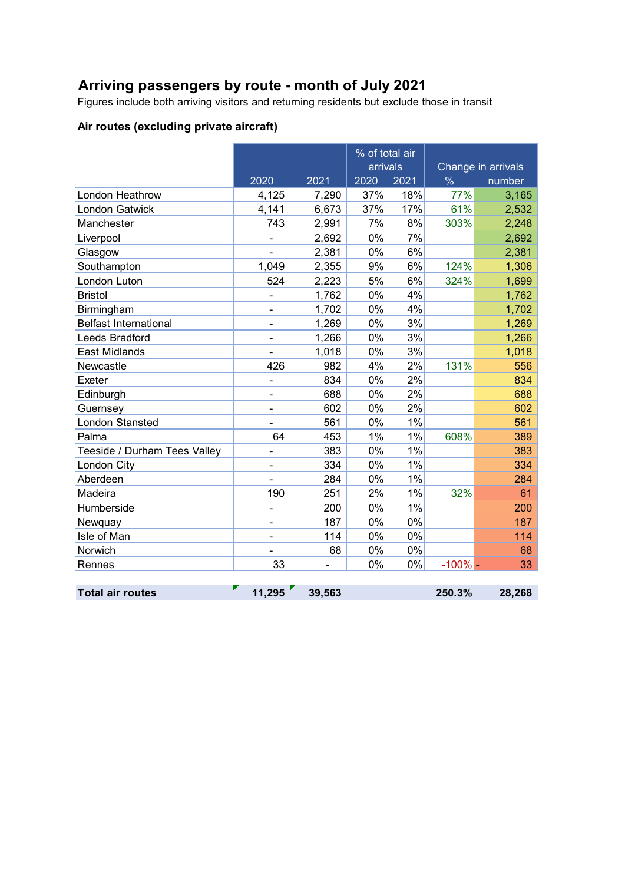# **Arriving passengers by route - month of July 2021**

Figures include both arriving visitors and returning residents but exclude those in transit

## **Air routes (excluding private aircraft)**

|                              |                |        | % of total air<br>arrivals |      | Change in arrivals |        |
|------------------------------|----------------|--------|----------------------------|------|--------------------|--------|
|                              | 2020           | 2021   | 2020                       | 2021 | $\frac{0}{6}$      | number |
| London Heathrow              | 4,125          | 7,290  | 37%                        | 18%  | 77%                | 3,165  |
| London Gatwick               | 4,141          | 6,673  | 37%                        | 17%  | 61%                | 2,532  |
| Manchester                   | 743            | 2,991  | 7%                         | 8%   | 303%               | 2,248  |
| Liverpool                    | $\blacksquare$ | 2,692  | 0%                         | 7%   |                    | 2,692  |
| Glasgow                      |                | 2,381  | 0%                         | 6%   |                    | 2,381  |
| Southampton                  | 1,049          | 2,355  | 9%                         | 6%   | 124%               | 1,306  |
| London Luton                 | 524            | 2,223  | 5%                         | 6%   | 324%               | 1,699  |
| <b>Bristol</b>               |                | 1,762  | 0%                         | 4%   |                    | 1,762  |
| Birmingham                   |                | 1,702  | 0%                         | 4%   |                    | 1,702  |
| <b>Belfast International</b> | $\blacksquare$ | 1,269  | 0%                         | 3%   |                    | 1,269  |
| Leeds Bradford               |                | 1,266  | 0%                         | 3%   |                    | 1,266  |
| <b>East Midlands</b>         |                | 1,018  | 0%                         | 3%   |                    | 1,018  |
| Newcastle                    | 426            | 982    | 4%                         | 2%   | 131%               | 556    |
| Exeter                       |                | 834    | 0%                         | 2%   |                    | 834    |
| Edinburgh                    | ۰              | 688    | 0%                         | 2%   |                    | 688    |
| Guernsey                     | $\blacksquare$ | 602    | 0%                         | 2%   |                    | 602    |
| <b>London Stansted</b>       |                | 561    | 0%                         | 1%   |                    | 561    |
| Palma                        | 64             | 453    | 1%                         | 1%   | 608%               | 389    |
| Teeside / Durham Tees Valley | -              | 383    | 0%                         | 1%   |                    | 383    |
| London City                  |                | 334    | 0%                         | 1%   |                    | 334    |
| Aberdeen                     |                | 284    | 0%                         | 1%   |                    | 284    |
| Madeira                      | 190            | 251    | 2%                         | 1%   | 32%                | 61     |
| Humberside                   |                | 200    | 0%                         | 1%   |                    | 200    |
| Newquay                      | $\blacksquare$ | 187    | 0%                         | 0%   |                    | 187    |
| Isle of Man                  | -              | 114    | 0%                         | 0%   |                    | 114    |
| Norwich                      |                | 68     | 0%                         | 0%   |                    | 68     |
| Rennes                       | 33             |        | 0%                         | 0%   | $-100%$            | 33     |
|                              |                |        |                            |      |                    |        |
| <b>Total air routes</b>      | 11,295         | 39,563 |                            |      | 250.3%             | 28,268 |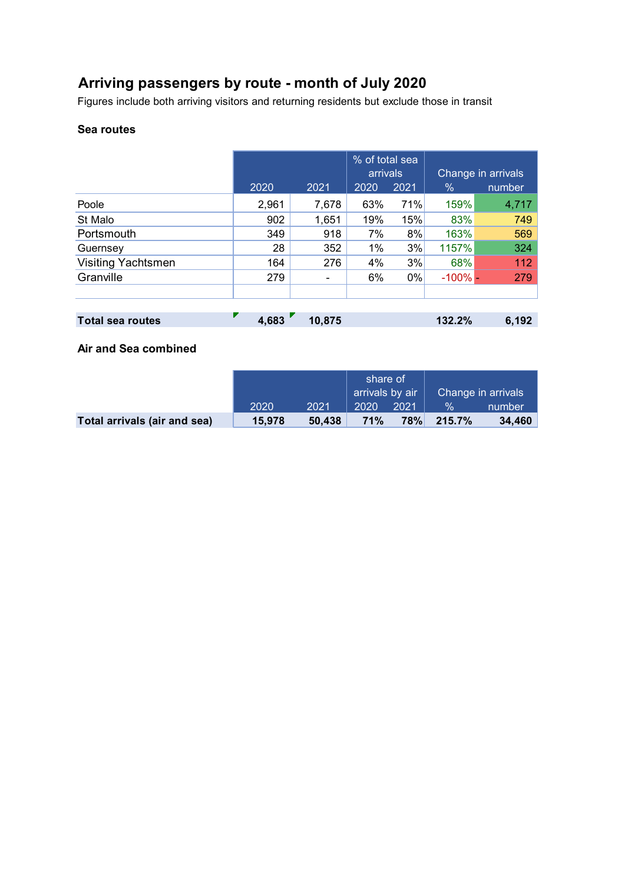# **Arriving passengers by route - month of July 2020**

Figures include both arriving visitors and returning residents but exclude those in transit

#### **Sea routes**

|                           |       |                          | % of total sea<br>arrivals |       | Change in arrivals |        |
|---------------------------|-------|--------------------------|----------------------------|-------|--------------------|--------|
|                           | 2020  | 2021                     | 2020                       | 2021  | $\%$               | number |
| Poole                     | 2,961 | 7,678                    | 63%                        | 71%   | 159%               | 4,717  |
| St Malo                   | 902   | 1,651                    | 19%                        | 15%   | 83%                | 749    |
| Portsmouth                | 349   | 918                      | 7%                         | 8%    | 163%               | 569    |
| Guernsey                  | 28    | 352                      | 1%                         | 3%    | 1157%              | 324    |
| <b>Visiting Yachtsmen</b> | 164   | 276                      | 4%                         | 3%    | 68%                | 112    |
| Granville                 | 279   | $\overline{\phantom{a}}$ | 6%                         | $0\%$ | $-100\%$ -         | 279    |
|                           |       |                          |                            |       |                    |        |
|                           |       |                          |                            |       |                    |        |

| 10,875 | 6,192  |
|--------|--------|
|        | 132.2% |

### **Air and Sea combined**

|                              |        |        | share of<br>arrivals by air |      | Change in arrivals |        |
|------------------------------|--------|--------|-----------------------------|------|--------------------|--------|
|                              | 2020   | 2021   | 2020                        | 2021 | $\mathcal{A}$      | number |
| Total arrivals (air and sea) | 15,978 | 50.438 | <b>71%</b>                  | 78%  | $215.7\%$          | 34,460 |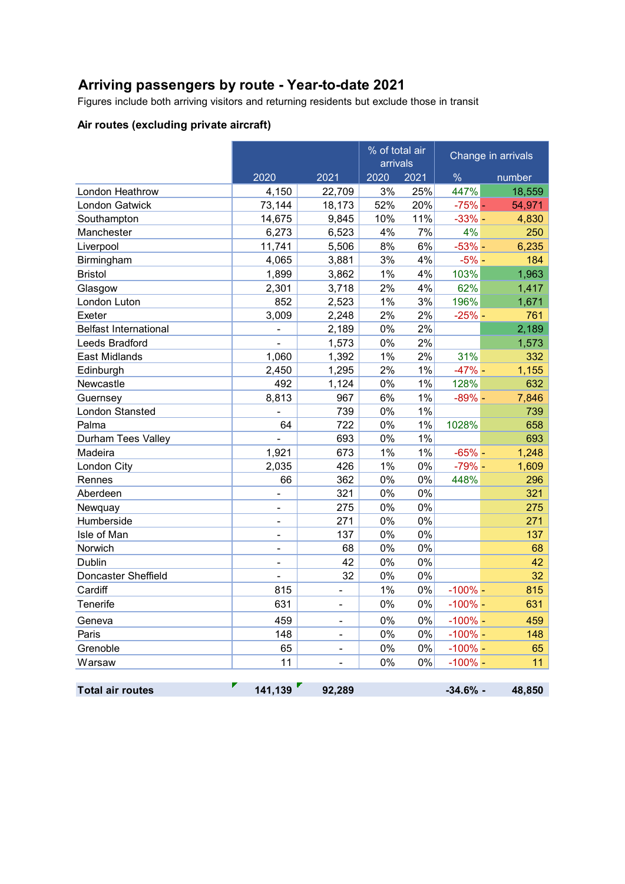## **Arriving passengers by route - Year-to-date 2021**

Figures include both arriving visitors and returning residents but exclude those in transit

### **Air routes (excluding private aircraft)**

|                              | % of total air<br>arrivals |                              |      | Change in arrivals |            |        |
|------------------------------|----------------------------|------------------------------|------|--------------------|------------|--------|
|                              | 2020                       | 2021                         | 2020 | 2021               | $\%$       | number |
| London Heathrow              | 4,150                      | 22,709                       | 3%   | 25%                | 447%       | 18,559 |
| <b>London Gatwick</b>        | 73,144                     | 18,173                       | 52%  | 20%                | $-75%$ -   | 54,971 |
| Southampton                  | 14,675                     | 9,845                        | 10%  | 11%                | $-33%$ -   | 4,830  |
| Manchester                   | 6,273                      | 6,523                        | 4%   | 7%                 | 4%         | 250    |
| Liverpool                    | 11,741                     | 5,506                        | 8%   | 6%                 | $-53% -$   | 6,235  |
| Birmingham                   | 4,065                      | 3,881                        | 3%   | 4%                 | $-5%$ -    | 184    |
| <b>Bristol</b>               | 1,899                      | 3,862                        | 1%   | 4%                 | 103%       | 1,963  |
| Glasgow                      | 2,301                      | 3,718                        | 2%   | 4%                 | 62%        | 1,417  |
| London Luton                 | 852                        | 2,523                        | 1%   | 3%                 | 196%       | 1,671  |
| Exeter                       | 3,009                      | 2,248                        | 2%   | 2%                 | $-25%$ -   | 761    |
| <b>Belfast International</b> |                            | 2,189                        | 0%   | 2%                 |            | 2,189  |
| Leeds Bradford               |                            | 1,573                        | 0%   | 2%                 |            | 1,573  |
| <b>East Midlands</b>         | 1,060                      | 1,392                        | 1%   | 2%                 | 31%        | 332    |
| Edinburgh                    | 2,450                      | 1,295                        | 2%   | 1%                 | $-47% -$   | 1,155  |
| Newcastle                    | 492                        | 1,124                        | 0%   | 1%                 | 128%       | 632    |
| Guernsey                     | 8,813                      | 967                          | 6%   | 1%                 | $-89%$ -   | 7,846  |
| <b>London Stansted</b>       |                            | 739                          | 0%   | 1%                 |            | 739    |
| Palma                        | 64                         | 722                          | 0%   | 1%                 | 1028%      | 658    |
| Durham Tees Valley           |                            | 693                          | 0%   | 1%                 |            | 693    |
| Madeira                      | 1,921                      | 673                          | 1%   | 1%                 | $-65%$ -   | 1,248  |
| London City                  | 2,035                      | 426                          | 1%   | 0%                 | $-79% -$   | 1,609  |
| Rennes                       | 66                         | 362                          | 0%   | 0%                 | 448%       | 296    |
| Aberdeen                     |                            | 321                          | 0%   | 0%                 |            | 321    |
| Newquay                      | ۰                          | 275                          | 0%   | 0%                 |            | 275    |
| Humberside                   | ۰                          | 271                          | 0%   | 0%                 |            | 271    |
| Isle of Man                  | -                          | 137                          | 0%   | 0%                 |            | 137    |
| Norwich                      | ۰                          | 68                           | 0%   | 0%                 |            | 68     |
| Dublin                       |                            | 42                           | 0%   | 0%                 |            | 42     |
| Doncaster Sheffield          |                            | 32                           | 0%   | 0%                 |            | 32     |
| Cardiff                      | 815                        |                              | 1%   | 0%                 | $-100%$ -  | 815    |
| Tenerife                     | 631                        | ٠                            | 0%   | 0%                 | $-100%$ -  | 631    |
| Geneva                       | 459                        | -                            | 0%   | $0\%$              | $-100\%$ - | 459    |
| Paris                        | 148                        |                              | 0%   | 0%                 | $-100%$ -  | 148    |
| Grenoble                     | 65                         | $\qquad \qquad \blacksquare$ | 0%   | 0%                 | $-100\%$ - | 65     |
| Warsaw                       | 11                         |                              | 0%   | 0%                 | $-100% -$  | 11     |
|                              |                            |                              |      |                    |            |        |
| <b>Total air routes</b>      | 141,139                    | 92,289                       |      |                    | $-34.6%$ - | 48,850 |